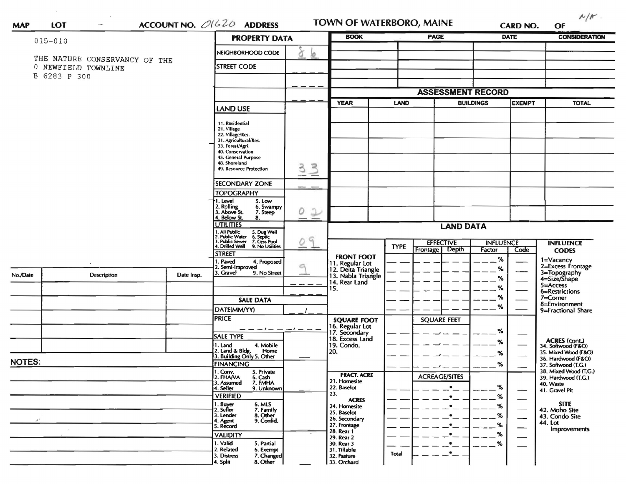| <b>MAP</b> | LOT |
|------------|-----|
|            |     |

 $\alpha$  .

 $\bar{\epsilon}$  and

TOWN OF WATERBORO, MAINE

**CARD NO.**  $OF$ 

 $N/F$ 

| NEIGHBORHOOD CODE<br>ð<br>b<br>THE NATURE CONSERVANCY OF THE<br><b>STREET CODE</b><br>0 NEWFIELD TOWNLINE<br>B 6283 P 300<br><b>ASSESSMENT RECORD</b><br><b>YEAR</b><br><b>BUILDINGS</b><br><b>TOTAL</b><br>LAND<br><b>EXEMPT</b><br>LAND USE<br>11. Residential<br>21. Village<br>22. Village/Res.<br>31. Agricultural/Res.<br>33. Forest/Agri.<br>40. Conservation<br>45. General Purpose<br>48. Shoreland<br>$\geq$<br>3<br>49. Resource Protection<br><b>SECONDARY ZONE</b><br><b>TOPOGRAPHY</b><br>I. Level<br>5. Low<br>2. Rolling<br>3. Above St.<br>6. Swampy<br>0<br>$\mathcal{L}% =\mathcal{L}^{(1)}\!\left( \mathcal{L}^{(2)}\right) ^{\mathcal{L}}\!\left( \mathcal{L}^{(1)}\right) ^{\mathcal{L}}\!\left( \mathcal{L}^{(2)}\right) ^{\mathcal{L}}\!\left( \mathcal{L}^{(1)}\right) ^{\mathcal{L}}\!\left( \mathcal{L}^{(2)}\right) ^{\mathcal{L}}\!\left( \mathcal{L}^{(1)}\right) ^{\mathcal{L}}\!\left( \mathcal{L}^{(2)}\right) ^{\mathcal{L}}\!\left( \mathcal{L}^{(1)}\right) ^{\mathcal{L}}\!\left( \mathcal{L}^{$<br>7. Steep<br>4. Below St.<br>8.<br><b>UTILITIES</b><br><b>LAND DATA</b><br>1. All Public<br>2. Public Water<br>3. Public Sewer<br>4. Drilled Well<br>5. Dug Well<br>6. Septic<br>7. Cess Pool<br>9. No Utilities<br>9<br><b>EFFECTIVE</b><br><b>INFLUENCE</b><br><b>INFLUENCE</b><br><b>TYPE</b><br>Depth<br>Frontage<br>Factor<br>Code<br><b>CODES</b><br><b>STREET</b><br><b>FRONT FOOT</b><br>%<br>1=Vacancy<br>2=Excess Frontage<br>. Paved<br>4. Proposed<br>11. Regular Lot<br>12. Delta Triangle<br>13. Nabla Triangle<br>2. Semi-Improved<br>%<br>3=Topography<br>4=Size/Shape<br>3. Gravel<br>9. No Street<br>No./Date<br>Description<br>Date Insp.<br>%<br>14. Rear Land<br>5=Access<br>%<br>15.<br>6=Restrictions<br>%<br>$7 =$ Corner<br><b>SALE DATA</b><br>8=Environment<br>%<br>DATE(MM/YY)<br>9=Fractional Share<br><b>PRICE</b><br><b>SQUARE FEET</b><br><b>SQUARE FOOT</b><br>16. Regular Lot<br>17. Secondary<br>18. Excess Land<br>-1- -<br>%<br><b>SALE TYPE</b><br>ACRES (cont.)<br>34. Softwood (F&O)<br>℅<br>19. Condo.<br>1. Land<br>4. Mobile<br>2. Land & Bldg. Home<br>3. Building Only 5. Other<br>Home<br>20.<br>35. Mixed Wood (F&O)<br>%<br>36. Hardwood (F&O)<br><b>NOTES:</b><br><b>FINANCING</b><br>%<br>37. Softwood (T.G.)<br>38. Mixed Wood (T.G.)<br>1. Conv.<br>5. Private<br><b>FRACT. ACRE</b><br><b>ACREAGE/SITES</b><br>2. FHANA<br>6. Cash<br>39. Hardwood (T.G.)<br>21. Homesite<br>7. FMHA<br>3. Assumed<br>40. Waste<br>4. Seller<br>9. Unknown<br>22. Baselot<br>℅<br>41. Gravel Pit<br>—<br>23.<br><b>VERIFIED</b><br>%<br><b>ACRES</b><br><b>SITE</b><br>1. Buyer<br>2. Seller<br>6. MLS<br>7. Family<br>%<br>24. Homesite<br>42. Moho Site<br>25. Baselot<br>8. Other<br>3. Lender<br>$\%$<br>43. Condo Site<br>26. Secondary<br>--<br>9. Confid.<br>$\cdot$<br>4. Agent<br>44. Lot<br>27. Frontage<br>%<br>٠<br>5. Record<br>—<br><b>Improvements</b><br>28. Rear 1<br>%<br>٠<br><b>VALIDITY</b><br>29. Rear 2<br>1. Valid<br>5. Partial<br>%<br>30. Rear 3<br>$\bullet$<br>2. Related<br>6. Exempt<br>31. Tillable<br>$\cdot$ $-$ | $015 - 010$ |  |  | <b>PROPERTY DATA</b>      |  | <b>BOOK</b> |       | PAGE |  | DATE | <b>CONSIDERATION</b> |  |
|---------------------------------------------------------------------------------------------------------------------------------------------------------------------------------------------------------------------------------------------------------------------------------------------------------------------------------------------------------------------------------------------------------------------------------------------------------------------------------------------------------------------------------------------------------------------------------------------------------------------------------------------------------------------------------------------------------------------------------------------------------------------------------------------------------------------------------------------------------------------------------------------------------------------------------------------------------------------------------------------------------------------------------------------------------------------------------------------------------------------------------------------------------------------------------------------------------------------------------------------------------------------------------------------------------------------------------------------------------------------------------------------------------------------------------------------------------------------------------------------------------------------------------------------------------------------------------------------------------------------------------------------------------------------------------------------------------------------------------------------------------------------------------------------------------------------------------------------------------------------------------------------------------------------------------------------------------------------------------------------------------------------------------------------------------------------------------------------------------------------------------------------------------------------------------------------------------------------------------------------------------------------------------------------------------------------------------------------------------------------------------------------------------------------------------------------------------------------------------------------------------------------------------------------------------------------------------------------------------------------------------------------------------------------------------------------------------------------------------------------------------------------------------------------------------------------------------------------------------------------------------------------------------------------------------------------------------------------------------------------------------------------------------------------------------------------------------------------------------------------------------|-------------|--|--|---------------------------|--|-------------|-------|------|--|------|----------------------|--|
|                                                                                                                                                                                                                                                                                                                                                                                                                                                                                                                                                                                                                                                                                                                                                                                                                                                                                                                                                                                                                                                                                                                                                                                                                                                                                                                                                                                                                                                                                                                                                                                                                                                                                                                                                                                                                                                                                                                                                                                                                                                                                                                                                                                                                                                                                                                                                                                                                                                                                                                                                                                                                                                                                                                                                                                                                                                                                                                                                                                                                                                                                                                                 |             |  |  |                           |  |             |       |      |  |      |                      |  |
|                                                                                                                                                                                                                                                                                                                                                                                                                                                                                                                                                                                                                                                                                                                                                                                                                                                                                                                                                                                                                                                                                                                                                                                                                                                                                                                                                                                                                                                                                                                                                                                                                                                                                                                                                                                                                                                                                                                                                                                                                                                                                                                                                                                                                                                                                                                                                                                                                                                                                                                                                                                                                                                                                                                                                                                                                                                                                                                                                                                                                                                                                                                                 |             |  |  |                           |  |             |       |      |  |      |                      |  |
|                                                                                                                                                                                                                                                                                                                                                                                                                                                                                                                                                                                                                                                                                                                                                                                                                                                                                                                                                                                                                                                                                                                                                                                                                                                                                                                                                                                                                                                                                                                                                                                                                                                                                                                                                                                                                                                                                                                                                                                                                                                                                                                                                                                                                                                                                                                                                                                                                                                                                                                                                                                                                                                                                                                                                                                                                                                                                                                                                                                                                                                                                                                                 |             |  |  |                           |  |             |       |      |  |      |                      |  |
|                                                                                                                                                                                                                                                                                                                                                                                                                                                                                                                                                                                                                                                                                                                                                                                                                                                                                                                                                                                                                                                                                                                                                                                                                                                                                                                                                                                                                                                                                                                                                                                                                                                                                                                                                                                                                                                                                                                                                                                                                                                                                                                                                                                                                                                                                                                                                                                                                                                                                                                                                                                                                                                                                                                                                                                                                                                                                                                                                                                                                                                                                                                                 |             |  |  |                           |  |             |       |      |  |      |                      |  |
|                                                                                                                                                                                                                                                                                                                                                                                                                                                                                                                                                                                                                                                                                                                                                                                                                                                                                                                                                                                                                                                                                                                                                                                                                                                                                                                                                                                                                                                                                                                                                                                                                                                                                                                                                                                                                                                                                                                                                                                                                                                                                                                                                                                                                                                                                                                                                                                                                                                                                                                                                                                                                                                                                                                                                                                                                                                                                                                                                                                                                                                                                                                                 |             |  |  |                           |  |             |       |      |  |      |                      |  |
|                                                                                                                                                                                                                                                                                                                                                                                                                                                                                                                                                                                                                                                                                                                                                                                                                                                                                                                                                                                                                                                                                                                                                                                                                                                                                                                                                                                                                                                                                                                                                                                                                                                                                                                                                                                                                                                                                                                                                                                                                                                                                                                                                                                                                                                                                                                                                                                                                                                                                                                                                                                                                                                                                                                                                                                                                                                                                                                                                                                                                                                                                                                                 |             |  |  |                           |  |             |       |      |  |      |                      |  |
|                                                                                                                                                                                                                                                                                                                                                                                                                                                                                                                                                                                                                                                                                                                                                                                                                                                                                                                                                                                                                                                                                                                                                                                                                                                                                                                                                                                                                                                                                                                                                                                                                                                                                                                                                                                                                                                                                                                                                                                                                                                                                                                                                                                                                                                                                                                                                                                                                                                                                                                                                                                                                                                                                                                                                                                                                                                                                                                                                                                                                                                                                                                                 |             |  |  |                           |  |             |       |      |  |      |                      |  |
|                                                                                                                                                                                                                                                                                                                                                                                                                                                                                                                                                                                                                                                                                                                                                                                                                                                                                                                                                                                                                                                                                                                                                                                                                                                                                                                                                                                                                                                                                                                                                                                                                                                                                                                                                                                                                                                                                                                                                                                                                                                                                                                                                                                                                                                                                                                                                                                                                                                                                                                                                                                                                                                                                                                                                                                                                                                                                                                                                                                                                                                                                                                                 |             |  |  |                           |  |             |       |      |  |      |                      |  |
|                                                                                                                                                                                                                                                                                                                                                                                                                                                                                                                                                                                                                                                                                                                                                                                                                                                                                                                                                                                                                                                                                                                                                                                                                                                                                                                                                                                                                                                                                                                                                                                                                                                                                                                                                                                                                                                                                                                                                                                                                                                                                                                                                                                                                                                                                                                                                                                                                                                                                                                                                                                                                                                                                                                                                                                                                                                                                                                                                                                                                                                                                                                                 |             |  |  |                           |  |             |       |      |  |      |                      |  |
|                                                                                                                                                                                                                                                                                                                                                                                                                                                                                                                                                                                                                                                                                                                                                                                                                                                                                                                                                                                                                                                                                                                                                                                                                                                                                                                                                                                                                                                                                                                                                                                                                                                                                                                                                                                                                                                                                                                                                                                                                                                                                                                                                                                                                                                                                                                                                                                                                                                                                                                                                                                                                                                                                                                                                                                                                                                                                                                                                                                                                                                                                                                                 |             |  |  |                           |  |             |       |      |  |      |                      |  |
|                                                                                                                                                                                                                                                                                                                                                                                                                                                                                                                                                                                                                                                                                                                                                                                                                                                                                                                                                                                                                                                                                                                                                                                                                                                                                                                                                                                                                                                                                                                                                                                                                                                                                                                                                                                                                                                                                                                                                                                                                                                                                                                                                                                                                                                                                                                                                                                                                                                                                                                                                                                                                                                                                                                                                                                                                                                                                                                                                                                                                                                                                                                                 |             |  |  |                           |  |             |       |      |  |      |                      |  |
|                                                                                                                                                                                                                                                                                                                                                                                                                                                                                                                                                                                                                                                                                                                                                                                                                                                                                                                                                                                                                                                                                                                                                                                                                                                                                                                                                                                                                                                                                                                                                                                                                                                                                                                                                                                                                                                                                                                                                                                                                                                                                                                                                                                                                                                                                                                                                                                                                                                                                                                                                                                                                                                                                                                                                                                                                                                                                                                                                                                                                                                                                                                                 |             |  |  |                           |  |             |       |      |  |      |                      |  |
|                                                                                                                                                                                                                                                                                                                                                                                                                                                                                                                                                                                                                                                                                                                                                                                                                                                                                                                                                                                                                                                                                                                                                                                                                                                                                                                                                                                                                                                                                                                                                                                                                                                                                                                                                                                                                                                                                                                                                                                                                                                                                                                                                                                                                                                                                                                                                                                                                                                                                                                                                                                                                                                                                                                                                                                                                                                                                                                                                                                                                                                                                                                                 |             |  |  |                           |  |             |       |      |  |      |                      |  |
|                                                                                                                                                                                                                                                                                                                                                                                                                                                                                                                                                                                                                                                                                                                                                                                                                                                                                                                                                                                                                                                                                                                                                                                                                                                                                                                                                                                                                                                                                                                                                                                                                                                                                                                                                                                                                                                                                                                                                                                                                                                                                                                                                                                                                                                                                                                                                                                                                                                                                                                                                                                                                                                                                                                                                                                                                                                                                                                                                                                                                                                                                                                                 |             |  |  |                           |  |             |       |      |  |      |                      |  |
|                                                                                                                                                                                                                                                                                                                                                                                                                                                                                                                                                                                                                                                                                                                                                                                                                                                                                                                                                                                                                                                                                                                                                                                                                                                                                                                                                                                                                                                                                                                                                                                                                                                                                                                                                                                                                                                                                                                                                                                                                                                                                                                                                                                                                                                                                                                                                                                                                                                                                                                                                                                                                                                                                                                                                                                                                                                                                                                                                                                                                                                                                                                                 |             |  |  |                           |  |             |       |      |  |      |                      |  |
|                                                                                                                                                                                                                                                                                                                                                                                                                                                                                                                                                                                                                                                                                                                                                                                                                                                                                                                                                                                                                                                                                                                                                                                                                                                                                                                                                                                                                                                                                                                                                                                                                                                                                                                                                                                                                                                                                                                                                                                                                                                                                                                                                                                                                                                                                                                                                                                                                                                                                                                                                                                                                                                                                                                                                                                                                                                                                                                                                                                                                                                                                                                                 |             |  |  |                           |  |             |       |      |  |      |                      |  |
|                                                                                                                                                                                                                                                                                                                                                                                                                                                                                                                                                                                                                                                                                                                                                                                                                                                                                                                                                                                                                                                                                                                                                                                                                                                                                                                                                                                                                                                                                                                                                                                                                                                                                                                                                                                                                                                                                                                                                                                                                                                                                                                                                                                                                                                                                                                                                                                                                                                                                                                                                                                                                                                                                                                                                                                                                                                                                                                                                                                                                                                                                                                                 |             |  |  |                           |  |             |       |      |  |      |                      |  |
|                                                                                                                                                                                                                                                                                                                                                                                                                                                                                                                                                                                                                                                                                                                                                                                                                                                                                                                                                                                                                                                                                                                                                                                                                                                                                                                                                                                                                                                                                                                                                                                                                                                                                                                                                                                                                                                                                                                                                                                                                                                                                                                                                                                                                                                                                                                                                                                                                                                                                                                                                                                                                                                                                                                                                                                                                                                                                                                                                                                                                                                                                                                                 |             |  |  |                           |  |             |       |      |  |      |                      |  |
|                                                                                                                                                                                                                                                                                                                                                                                                                                                                                                                                                                                                                                                                                                                                                                                                                                                                                                                                                                                                                                                                                                                                                                                                                                                                                                                                                                                                                                                                                                                                                                                                                                                                                                                                                                                                                                                                                                                                                                                                                                                                                                                                                                                                                                                                                                                                                                                                                                                                                                                                                                                                                                                                                                                                                                                                                                                                                                                                                                                                                                                                                                                                 |             |  |  |                           |  |             |       |      |  |      |                      |  |
|                                                                                                                                                                                                                                                                                                                                                                                                                                                                                                                                                                                                                                                                                                                                                                                                                                                                                                                                                                                                                                                                                                                                                                                                                                                                                                                                                                                                                                                                                                                                                                                                                                                                                                                                                                                                                                                                                                                                                                                                                                                                                                                                                                                                                                                                                                                                                                                                                                                                                                                                                                                                                                                                                                                                                                                                                                                                                                                                                                                                                                                                                                                                 |             |  |  |                           |  |             |       |      |  |      |                      |  |
|                                                                                                                                                                                                                                                                                                                                                                                                                                                                                                                                                                                                                                                                                                                                                                                                                                                                                                                                                                                                                                                                                                                                                                                                                                                                                                                                                                                                                                                                                                                                                                                                                                                                                                                                                                                                                                                                                                                                                                                                                                                                                                                                                                                                                                                                                                                                                                                                                                                                                                                                                                                                                                                                                                                                                                                                                                                                                                                                                                                                                                                                                                                                 |             |  |  |                           |  |             |       |      |  |      |                      |  |
|                                                                                                                                                                                                                                                                                                                                                                                                                                                                                                                                                                                                                                                                                                                                                                                                                                                                                                                                                                                                                                                                                                                                                                                                                                                                                                                                                                                                                                                                                                                                                                                                                                                                                                                                                                                                                                                                                                                                                                                                                                                                                                                                                                                                                                                                                                                                                                                                                                                                                                                                                                                                                                                                                                                                                                                                                                                                                                                                                                                                                                                                                                                                 |             |  |  |                           |  |             |       |      |  |      |                      |  |
|                                                                                                                                                                                                                                                                                                                                                                                                                                                                                                                                                                                                                                                                                                                                                                                                                                                                                                                                                                                                                                                                                                                                                                                                                                                                                                                                                                                                                                                                                                                                                                                                                                                                                                                                                                                                                                                                                                                                                                                                                                                                                                                                                                                                                                                                                                                                                                                                                                                                                                                                                                                                                                                                                                                                                                                                                                                                                                                                                                                                                                                                                                                                 |             |  |  |                           |  |             |       |      |  |      |                      |  |
|                                                                                                                                                                                                                                                                                                                                                                                                                                                                                                                                                                                                                                                                                                                                                                                                                                                                                                                                                                                                                                                                                                                                                                                                                                                                                                                                                                                                                                                                                                                                                                                                                                                                                                                                                                                                                                                                                                                                                                                                                                                                                                                                                                                                                                                                                                                                                                                                                                                                                                                                                                                                                                                                                                                                                                                                                                                                                                                                                                                                                                                                                                                                 |             |  |  |                           |  |             |       |      |  |      |                      |  |
|                                                                                                                                                                                                                                                                                                                                                                                                                                                                                                                                                                                                                                                                                                                                                                                                                                                                                                                                                                                                                                                                                                                                                                                                                                                                                                                                                                                                                                                                                                                                                                                                                                                                                                                                                                                                                                                                                                                                                                                                                                                                                                                                                                                                                                                                                                                                                                                                                                                                                                                                                                                                                                                                                                                                                                                                                                                                                                                                                                                                                                                                                                                                 |             |  |  |                           |  |             |       |      |  |      |                      |  |
|                                                                                                                                                                                                                                                                                                                                                                                                                                                                                                                                                                                                                                                                                                                                                                                                                                                                                                                                                                                                                                                                                                                                                                                                                                                                                                                                                                                                                                                                                                                                                                                                                                                                                                                                                                                                                                                                                                                                                                                                                                                                                                                                                                                                                                                                                                                                                                                                                                                                                                                                                                                                                                                                                                                                                                                                                                                                                                                                                                                                                                                                                                                                 |             |  |  |                           |  |             |       |      |  |      |                      |  |
|                                                                                                                                                                                                                                                                                                                                                                                                                                                                                                                                                                                                                                                                                                                                                                                                                                                                                                                                                                                                                                                                                                                                                                                                                                                                                                                                                                                                                                                                                                                                                                                                                                                                                                                                                                                                                                                                                                                                                                                                                                                                                                                                                                                                                                                                                                                                                                                                                                                                                                                                                                                                                                                                                                                                                                                                                                                                                                                                                                                                                                                                                                                                 |             |  |  |                           |  |             |       |      |  |      |                      |  |
|                                                                                                                                                                                                                                                                                                                                                                                                                                                                                                                                                                                                                                                                                                                                                                                                                                                                                                                                                                                                                                                                                                                                                                                                                                                                                                                                                                                                                                                                                                                                                                                                                                                                                                                                                                                                                                                                                                                                                                                                                                                                                                                                                                                                                                                                                                                                                                                                                                                                                                                                                                                                                                                                                                                                                                                                                                                                                                                                                                                                                                                                                                                                 |             |  |  |                           |  |             |       |      |  |      |                      |  |
|                                                                                                                                                                                                                                                                                                                                                                                                                                                                                                                                                                                                                                                                                                                                                                                                                                                                                                                                                                                                                                                                                                                                                                                                                                                                                                                                                                                                                                                                                                                                                                                                                                                                                                                                                                                                                                                                                                                                                                                                                                                                                                                                                                                                                                                                                                                                                                                                                                                                                                                                                                                                                                                                                                                                                                                                                                                                                                                                                                                                                                                                                                                                 |             |  |  |                           |  |             |       |      |  |      |                      |  |
|                                                                                                                                                                                                                                                                                                                                                                                                                                                                                                                                                                                                                                                                                                                                                                                                                                                                                                                                                                                                                                                                                                                                                                                                                                                                                                                                                                                                                                                                                                                                                                                                                                                                                                                                                                                                                                                                                                                                                                                                                                                                                                                                                                                                                                                                                                                                                                                                                                                                                                                                                                                                                                                                                                                                                                                                                                                                                                                                                                                                                                                                                                                                 |             |  |  |                           |  |             |       |      |  |      |                      |  |
|                                                                                                                                                                                                                                                                                                                                                                                                                                                                                                                                                                                                                                                                                                                                                                                                                                                                                                                                                                                                                                                                                                                                                                                                                                                                                                                                                                                                                                                                                                                                                                                                                                                                                                                                                                                                                                                                                                                                                                                                                                                                                                                                                                                                                                                                                                                                                                                                                                                                                                                                                                                                                                                                                                                                                                                                                                                                                                                                                                                                                                                                                                                                 |             |  |  |                           |  |             |       |      |  |      |                      |  |
|                                                                                                                                                                                                                                                                                                                                                                                                                                                                                                                                                                                                                                                                                                                                                                                                                                                                                                                                                                                                                                                                                                                                                                                                                                                                                                                                                                                                                                                                                                                                                                                                                                                                                                                                                                                                                                                                                                                                                                                                                                                                                                                                                                                                                                                                                                                                                                                                                                                                                                                                                                                                                                                                                                                                                                                                                                                                                                                                                                                                                                                                                                                                 |             |  |  |                           |  |             |       |      |  |      |                      |  |
|                                                                                                                                                                                                                                                                                                                                                                                                                                                                                                                                                                                                                                                                                                                                                                                                                                                                                                                                                                                                                                                                                                                                                                                                                                                                                                                                                                                                                                                                                                                                                                                                                                                                                                                                                                                                                                                                                                                                                                                                                                                                                                                                                                                                                                                                                                                                                                                                                                                                                                                                                                                                                                                                                                                                                                                                                                                                                                                                                                                                                                                                                                                                 |             |  |  |                           |  |             |       |      |  |      |                      |  |
|                                                                                                                                                                                                                                                                                                                                                                                                                                                                                                                                                                                                                                                                                                                                                                                                                                                                                                                                                                                                                                                                                                                                                                                                                                                                                                                                                                                                                                                                                                                                                                                                                                                                                                                                                                                                                                                                                                                                                                                                                                                                                                                                                                                                                                                                                                                                                                                                                                                                                                                                                                                                                                                                                                                                                                                                                                                                                                                                                                                                                                                                                                                                 |             |  |  |                           |  |             |       |      |  |      |                      |  |
|                                                                                                                                                                                                                                                                                                                                                                                                                                                                                                                                                                                                                                                                                                                                                                                                                                                                                                                                                                                                                                                                                                                                                                                                                                                                                                                                                                                                                                                                                                                                                                                                                                                                                                                                                                                                                                                                                                                                                                                                                                                                                                                                                                                                                                                                                                                                                                                                                                                                                                                                                                                                                                                                                                                                                                                                                                                                                                                                                                                                                                                                                                                                 |             |  |  |                           |  |             |       |      |  |      |                      |  |
|                                                                                                                                                                                                                                                                                                                                                                                                                                                                                                                                                                                                                                                                                                                                                                                                                                                                                                                                                                                                                                                                                                                                                                                                                                                                                                                                                                                                                                                                                                                                                                                                                                                                                                                                                                                                                                                                                                                                                                                                                                                                                                                                                                                                                                                                                                                                                                                                                                                                                                                                                                                                                                                                                                                                                                                                                                                                                                                                                                                                                                                                                                                                 |             |  |  |                           |  |             |       |      |  |      |                      |  |
|                                                                                                                                                                                                                                                                                                                                                                                                                                                                                                                                                                                                                                                                                                                                                                                                                                                                                                                                                                                                                                                                                                                                                                                                                                                                                                                                                                                                                                                                                                                                                                                                                                                                                                                                                                                                                                                                                                                                                                                                                                                                                                                                                                                                                                                                                                                                                                                                                                                                                                                                                                                                                                                                                                                                                                                                                                                                                                                                                                                                                                                                                                                                 |             |  |  |                           |  |             |       |      |  |      |                      |  |
| 4. Split<br>8. Other<br>33. Orchard                                                                                                                                                                                                                                                                                                                                                                                                                                                                                                                                                                                                                                                                                                                                                                                                                                                                                                                                                                                                                                                                                                                                                                                                                                                                                                                                                                                                                                                                                                                                                                                                                                                                                                                                                                                                                                                                                                                                                                                                                                                                                                                                                                                                                                                                                                                                                                                                                                                                                                                                                                                                                                                                                                                                                                                                                                                                                                                                                                                                                                                                                             |             |  |  | 3. Distress<br>7. Changed |  | 32. Pasture | Total |      |  |      |                      |  |